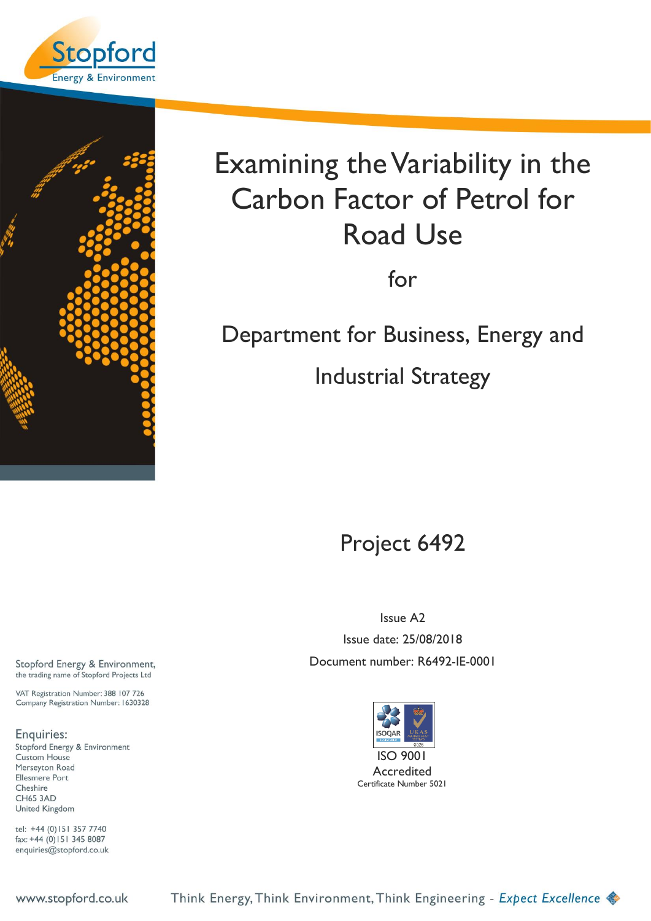<span id="page-0-0"></span>



# Examining the Variability in the Carbon Factor of Petrol for Road Use

for

Department for Business, Energy and

Industrial Strategy

Project 6492

Issue A2 Issue date: 25/08/2018 Document number: R6492-IE-0001



Accredited Certificate Number 5021

Stopford Energy & Environment, the trading name of Stopford Projects Ltd

VAT Registration Number: 388 107 726 Company Registration Number: 1630328

Enquiries: Stopford Energy & Environment **Custom House** Merseyton Road Ellesmere Port Cheshire **CH65 3AD** United Kingdom

tel: +44 (0)151 357 7740  $\frac{1}{2}$  fax: +44 (0) 151 345 8087 enquiries@stopford.co.uk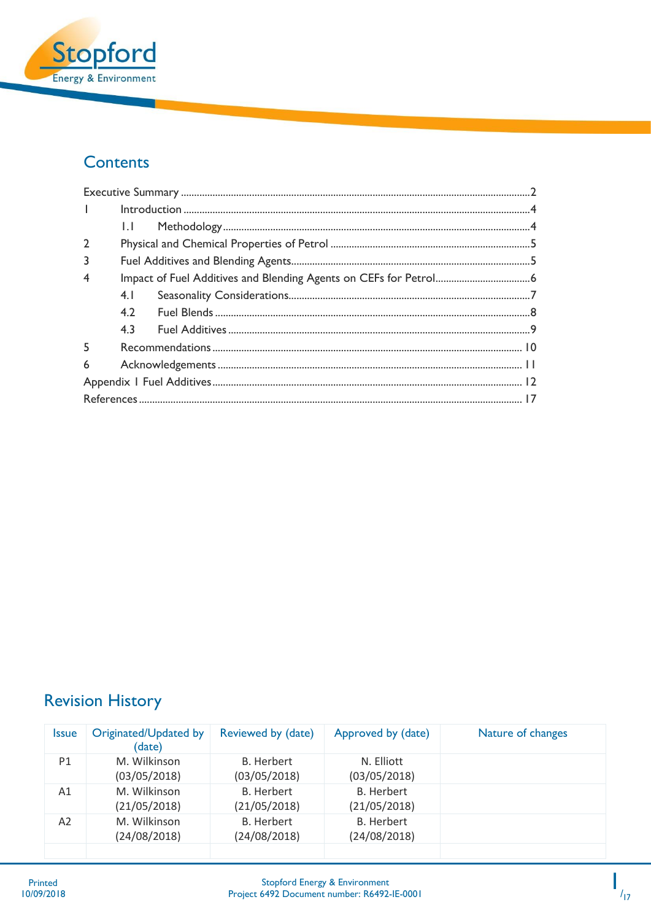

## Contents

| $\mathbf{L}$            |     |  |  |  |
|-------------------------|-----|--|--|--|
|                         | 1.1 |  |  |  |
| $\overline{2}$          |     |  |  |  |
| 3                       |     |  |  |  |
| $\overline{\mathbf{4}}$ |     |  |  |  |
|                         | 4.1 |  |  |  |
|                         | 4.2 |  |  |  |
|                         | 4.3 |  |  |  |
| 5                       |     |  |  |  |
| 6                       |     |  |  |  |
|                         |     |  |  |  |
|                         |     |  |  |  |

# **Revision History**

| M. Wilkinson<br><b>B.</b> Herbert<br>N. Elliott<br>P1<br>(03/05/2018)<br>(03/05/2018)<br>(03/05/2018)        |  |
|--------------------------------------------------------------------------------------------------------------|--|
|                                                                                                              |  |
| <b>B.</b> Herbert<br><b>B.</b> Herbert<br>M. Wilkinson<br>Α1<br>(21/05/2018)<br>(21/05/2018)<br>(21/05/2018) |  |
| <b>B.</b> Herbert<br>M. Wilkinson<br><b>B.</b> Herbert<br>A2<br>(24/08/2018)<br>(24/08/2018)<br>(24/08/2018) |  |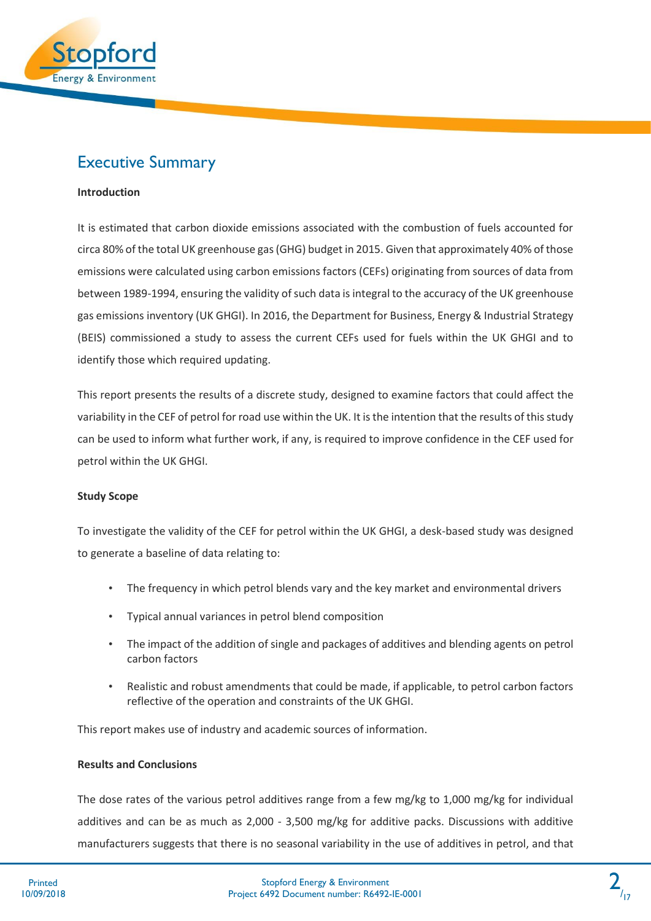

# <span id="page-2-0"></span>Executive Summary

### **Introduction**

It is estimated that carbon dioxide emissions associated with the combustion of fuels accounted for circa 80% of the total UK greenhouse gas (GHG) budget in 2015. Given that approximately 40% of those emissions were calculated using carbon emissions factors (CEFs) originating from sources of data from between 1989-1994, ensuring the validity of such data is integral to the accuracy of the UK greenhouse gas emissions inventory (UK GHGI). In 2016, the Department for Business, Energy & Industrial Strategy (BEIS) commissioned a study to assess the current CEFs used for fuels within the UK GHGI and to identify those which required updating.

This report presents the results of a discrete study, designed to examine factors that could affect the variability in the CEF of petrol for road use within the UK. It is the intention that the results of this study can be used to inform what further work, if any, is required to improve confidence in the CEF used for petrol within the UK GHGI.

#### **Study Scope**

To investigate the validity of the CEF for petrol within the UK GHGI, a desk-based study was designed to generate a baseline of data relating to:

- The frequency in which petrol blends vary and the key market and environmental drivers
- Typical annual variances in petrol blend composition
- The impact of the addition of single and packages of additives and blending agents on petrol carbon factors
- Realistic and robust amendments that could be made, if applicable, to petrol carbon factors reflective of the operation and constraints of the UK GHGI.

This report makes use of industry and academic sources of information.

#### **Results and Conclusions**

The dose rates of the various petrol additives range from a few mg/kg to 1,000 mg/kg for individual additives and can be as much as 2,000 - 3,500 mg/kg for additive packs. Discussions with additive manufacturers suggests that there is no seasonal variability in the use of additives in petrol, and that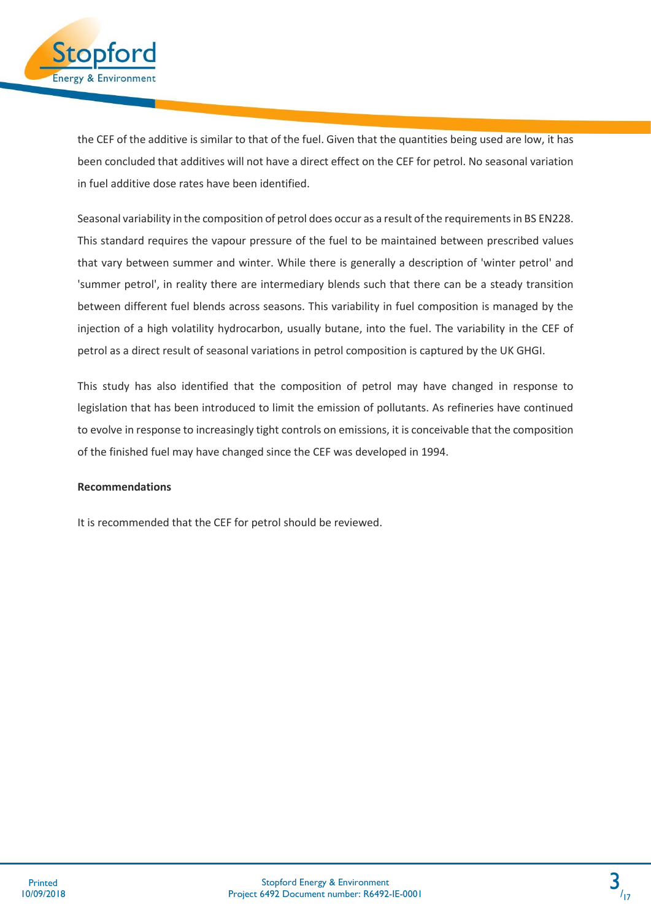

the CEF of the additive is similar to that of the fuel. Given that the quantities being used are low, it has been concluded that additives will not have a direct effect on the CEF for petrol. No seasonal variation in fuel additive dose rates have been identified.

Seasonal variability in the composition of petrol does occur as a result of the requirements in BS EN228. This standard requires the vapour pressure of the fuel to be maintained between prescribed values that vary between summer and winter. While there is generally a description of 'winter petrol' and 'summer petrol', in reality there are intermediary blends such that there can be a steady transition between different fuel blends across seasons. This variability in fuel composition is managed by the injection of a high volatility hydrocarbon, usually butane, into the fuel. The variability in the CEF of petrol as a direct result of seasonal variations in petrol composition is captured by the UK GHGI.

This study has also identified that the composition of petrol may have changed in response to legislation that has been introduced to limit the emission of pollutants. As refineries have continued to evolve in response to increasingly tight controls on emissions, it is conceivable that the composition of the finished fuel may have changed since the CEF was developed in 1994.

### **Recommendations**

It is recommended that the CEF for petrol should be reviewed.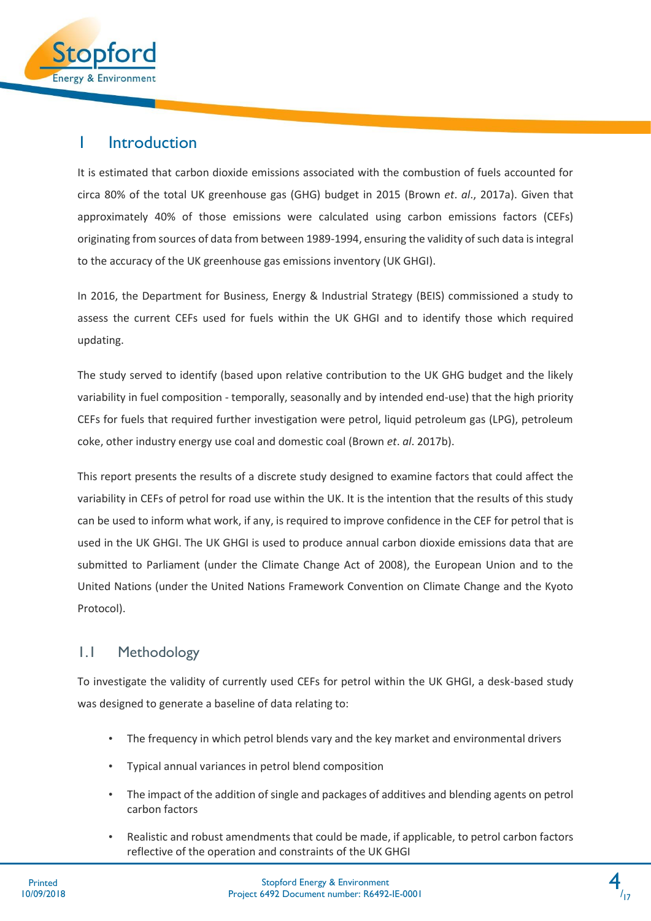

### <span id="page-4-0"></span>1 Introduction

It is estimated that carbon dioxide emissions associated with the combustion of fuels accounted for circa 80% of the total UK greenhouse gas (GHG) budget in 2015 (Brown *et*. *al*., 2017a). Given that approximately 40% of those emissions were calculated using carbon emissions factors (CEFs) originating from sources of data from between 1989-1994, ensuring the validity of such data is integral to the accuracy of the UK greenhouse gas emissions inventory (UK GHGI).

In 2016, the Department for Business, Energy & Industrial Strategy (BEIS) commissioned a study to assess the current CEFs used for fuels within the UK GHGI and to identify those which required updating.

The study served to identify (based upon relative contribution to the UK GHG budget and the likely variability in fuel composition - temporally, seasonally and by intended end-use) that the high priority CEFs for fuels that required further investigation were petrol, liquid petroleum gas (LPG), petroleum coke, other industry energy use coal and domestic coal (Brown *et*. *al*. 2017b).

This report presents the results of a discrete study designed to examine factors that could affect the variability in CEFs of petrol for road use within the UK. It is the intention that the results of this study can be used to inform what work, if any, is required to improve confidence in the CEF for petrol that is used in the UK GHGI. The UK GHGI is used to produce annual carbon dioxide emissions data that are submitted to Parliament (under the Climate Change Act of 2008), the European Union and to the United Nations (under the United Nations Framework Convention on Climate Change and the Kyoto Protocol).

### <span id="page-4-1"></span>1.1 Methodology

To investigate the validity of currently used CEFs for petrol within the UK GHGI, a desk-based study was designed to generate a baseline of data relating to:

- The frequency in which petrol blends vary and the key market and environmental drivers
- Typical annual variances in petrol blend composition
- The impact of the addition of single and packages of additives and blending agents on petrol carbon factors
- Realistic and robust amendments that could be made, if applicable, to petrol carbon factors reflective of the operation and constraints of the UK GHGI

4  $/17$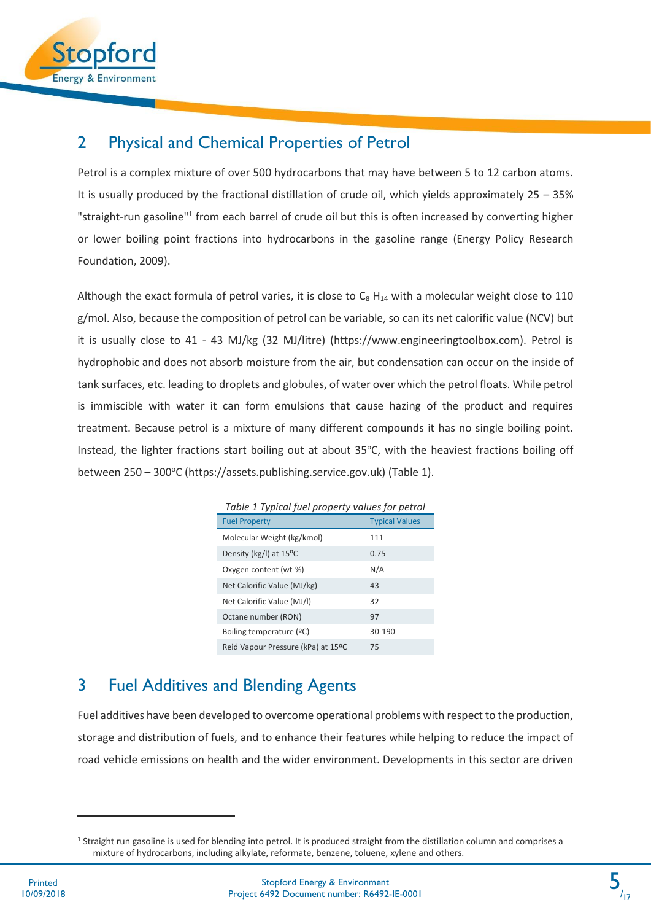

### <span id="page-5-0"></span>2 Physical and Chemical Properties of Petrol

Petrol is a complex mixture of over 500 hydrocarbons that may have between 5 to 12 carbon atoms. It is usually produced by the fractional distillation of crude oil, which yields approximately 25 – 35% "straight-run gasoline"<sup>1</sup> from each barrel of crude oil but this is often increased by converting higher or lower boiling point fractions into hydrocarbons in the gasoline range (Energy Policy Research Foundation, 2009).

Although the exact formula of petrol varies, it is close to  $C_8$  H<sub>14</sub> with a molecular weight close to 110 g/mol. Also, because the composition of petrol can be variable, so can its net calorific value (NCV) but it is usually close to 41 - 43 MJ/kg (32 MJ/litre) (https://www.engineeringtoolbox.com). Petrol is hydrophobic and does not absorb moisture from the air, but condensation can occur on the inside of tank surfaces, etc. leading to droplets and globules, of water over which the petrol floats. While petrol is immiscible with water it can form emulsions that cause hazing of the product and requires treatment. Because petrol is a mixture of many different compounds it has no single boiling point. Instead, the lighter fractions start boiling out at about 35°C, with the heaviest fractions boiling off between 250 – 300°C (https://assets.publishing.service.gov.uk) (Table 1).

| Table 1 Typical fuel property values for petrol |                       |  |
|-------------------------------------------------|-----------------------|--|
| <b>Fuel Property</b>                            | <b>Typical Values</b> |  |
| Molecular Weight (kg/kmol)                      | 111                   |  |
| Density (kg/l) at 15 <sup>o</sup> C             | 0.75                  |  |
| Oxygen content (wt-%)                           | N/A                   |  |
| Net Calorific Value (MJ/kg)                     | 43                    |  |
| Net Calorific Value (MJ/I)                      | 32                    |  |
| Octane number (RON)                             | 97                    |  |
| Boiling temperature (ºC)                        | 30-190                |  |
| Reid Vapour Pressure (kPa) at 15ºC              | 75                    |  |

## <span id="page-5-1"></span>3 Fuel Additives and Blending Agents

Fuel additives have been developed to overcome operational problems with respect to the production, storage and distribution of fuels, and to enhance their features while helping to reduce the impact of road vehicle emissions on health and the wider environment. Developments in this sector are driven

 $\overline{a}$ 

<sup>&</sup>lt;sup>1</sup> Straight run gasoline is used for blending into petrol. It is produced straight from the distillation column and comprises a mixture of hydrocarbons, including alkylate, reformate, benzene, toluene, xylene and others.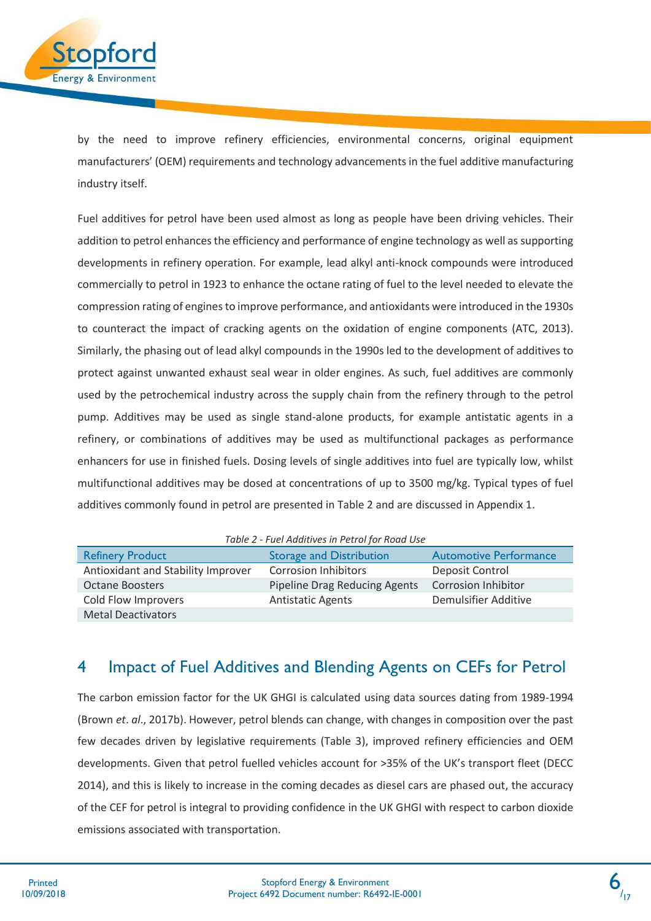

by the need to improve refinery efficiencies, environmental concerns, original equipment manufacturers' (OEM) requirements and technology advancements in the fuel additive manufacturing industry itself.

Fuel additives for petrol have been used almost as long as people have been driving vehicles. Their addition to petrol enhances the efficiency and performance of engine technology as well as supporting developments in refinery operation. For example, lead alkyl anti-knock compounds were introduced commercially to petrol in 1923 to enhance the octane rating of fuel to the level needed to elevate the compression rating of engines to improve performance, and antioxidants were introduced in the 1930s to counteract the impact of cracking agents on the oxidation of engine components (ATC, 2013). Similarly, the phasing out of lead alkyl compounds in the 1990s led to the development of additives to protect against unwanted exhaust seal wear in older engines. As such, fuel additives are commonly used by the petrochemical industry across the supply chain from the refinery through to the petrol pump. Additives may be used as single stand-alone products, for example antistatic agents in a refinery, or combinations of additives may be used as multifunctional packages as performance enhancers for use in finished fuels. Dosing levels of single additives into fuel are typically low, whilst multifunctional additives may be dosed at concentrations of up to 3500 mg/kg. Typical types of fuel additives commonly found in petrol are presented in Table 2 and are discussed in Appendix 1.

| Table 2 - Fuel Additives in Petrol for Road Use |  |  |  |  |  |
|-------------------------------------------------|--|--|--|--|--|
|-------------------------------------------------|--|--|--|--|--|

| <b>Refinery Product</b>            | <b>Storage and Distribution</b> | <b>Automotive Performance</b> |
|------------------------------------|---------------------------------|-------------------------------|
| Antioxidant and Stability Improver | <b>Corrosion Inhibitors</b>     | Deposit Control               |
| <b>Octane Boosters</b>             | Pipeline Drag Reducing Agents   | <b>Corrosion Inhibitor</b>    |
| Cold Flow Improvers                | <b>Antistatic Agents</b>        | Demulsifier Additive          |
| <b>Metal Deactivators</b>          |                                 |                               |

## <span id="page-6-0"></span>4 Impact of Fuel Additives and Blending Agents on CEFs for Petrol

The carbon emission factor for the UK GHGI is calculated using data sources dating from 1989-1994 (Brown *et*. *al*., 2017b). However, petrol blends can change, with changes in composition over the past few decades driven by legislative requirements (Table 3), improved refinery efficiencies and OEM developments. Given that petrol fuelled vehicles account for >35% of the UK's transport fleet (DECC 2014), and this is likely to increase in the coming decades as diesel cars are phased out, the accuracy of the CEF for petrol is integral to providing confidence in the UK GHGI with respect to carbon dioxide emissions associated with transportation.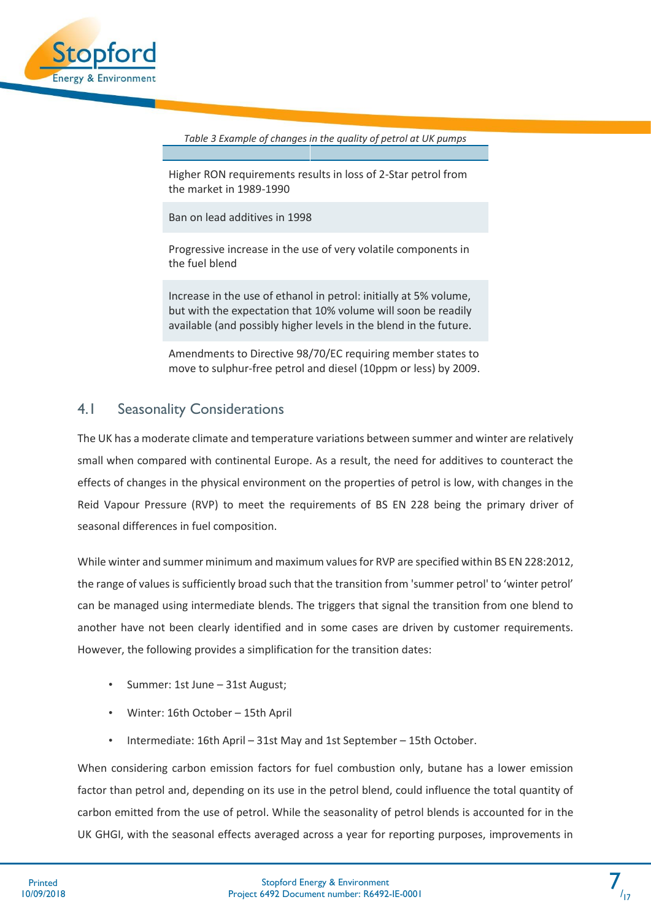

*Table 3 Example of changes in the quality of petrol at UK pumps*

Higher RON requirements results in loss of 2-Star petrol from the market in 1989-1990

Ban on lead additives in 1998

Progressive increase in the use of very volatile components in the fuel blend

Increase in the use of ethanol in petrol: initially at 5% volume, but with the expectation that 10% volume will soon be readily available (and possibly higher levels in the blend in the future.

Amendments to Directive 98/70/EC requiring member states to move to sulphur-free petrol and diesel (10ppm or less) by 2009.

### <span id="page-7-0"></span>4.1 Seasonality Considerations

The UK has a moderate climate and temperature variations between summer and winter are relatively small when compared with continental Europe. As a result, the need for additives to counteract the effects of changes in the physical environment on the properties of petrol is low, with changes in the Reid Vapour Pressure (RVP) to meet the requirements of BS EN 228 being the primary driver of seasonal differences in fuel composition.

While winter and summer minimum and maximum values for RVP are specified within BS EN 228:2012, the range of values is sufficiently broad such that the transition from 'summer petrol' to 'winter petrol' can be managed using intermediate blends. The triggers that signal the transition from one blend to another have not been clearly identified and in some cases are driven by customer requirements. However, the following provides a simplification for the transition dates:

- Summer: 1st June 31st August;
- Winter: 16th October 15th April
- Intermediate: 16th April 31st May and 1st September 15th October.

When considering carbon emission factors for fuel combustion only, butane has a lower emission factor than petrol and, depending on its use in the petrol blend, could influence the total quantity of carbon emitted from the use of petrol. While the seasonality of petrol blends is accounted for in the UK GHGI, with the seasonal effects averaged across a year for reporting purposes, improvements in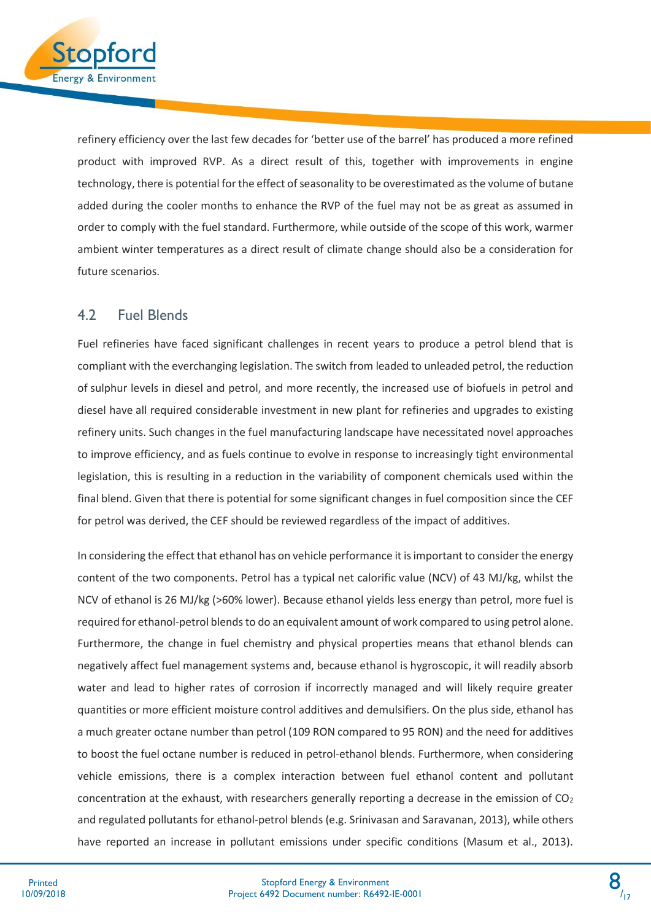

refinery efficiency over the last few decades for 'better use of the barrel' has produced a more refined product with improved RVP. As a direct result of this, together with improvements in engine technology, there is potential for the effect of seasonality to be overestimated as the volume of butane added during the cooler months to enhance the RVP of the fuel may not be as great as assumed in order to comply with the fuel standard. Furthermore, while outside of the scope of this work, warmer ambient winter temperatures as a direct result of climate change should also be a consideration for future scenarios.

### <span id="page-8-0"></span>4.2 Fuel Blends

Fuel refineries have faced significant challenges in recent years to produce a petrol blend that is compliant with the everchanging legislation. The switch from leaded to unleaded petrol, the reduction of sulphur levels in diesel and petrol, and more recently, the increased use of biofuels in petrol and diesel have all required considerable investment in new plant for refineries and upgrades to existing refinery units. Such changes in the fuel manufacturing landscape have necessitated novel approaches to improve efficiency, and as fuels continue to evolve in response to increasingly tight environmental legislation, this is resulting in a reduction in the variability of component chemicals used within the final blend. Given that there is potential for some significant changes in fuel composition since the CEF for petrol was derived, the CEF should be reviewed regardless of the impact of additives.

In considering the effect that ethanol has on vehicle performance it is important to consider the energy content of the two components. Petrol has a typical net calorific value (NCV) of 43 MJ/kg, whilst the NCV of ethanol is 26 MJ/kg (>60% lower). Because ethanol yields less energy than petrol, more fuel is required for ethanol-petrol blends to do an equivalent amount of work compared to using petrol alone. Furthermore, the change in fuel chemistry and physical properties means that ethanol blends can negatively affect fuel management systems and, because ethanol is hygroscopic, it will readily absorb water and lead to higher rates of corrosion if incorrectly managed and will likely require greater quantities or more efficient moisture control additives and demulsifiers. On the plus side, ethanol has a much greater octane number than petrol (109 RON compared to 95 RON) and the need for additives to boost the fuel octane number is reduced in petrol-ethanol blends. Furthermore, when considering vehicle emissions, there is a complex interaction between fuel ethanol content and pollutant concentration at the exhaust, with researchers generally reporting a decrease in the emission of  $CO<sub>2</sub>$ and regulated pollutants for ethanol-petrol blends (e.g. Srinivasan and Saravanan, 2013), while others have reported an increase in pollutant emissions under specific conditions (Masum et al., 2013).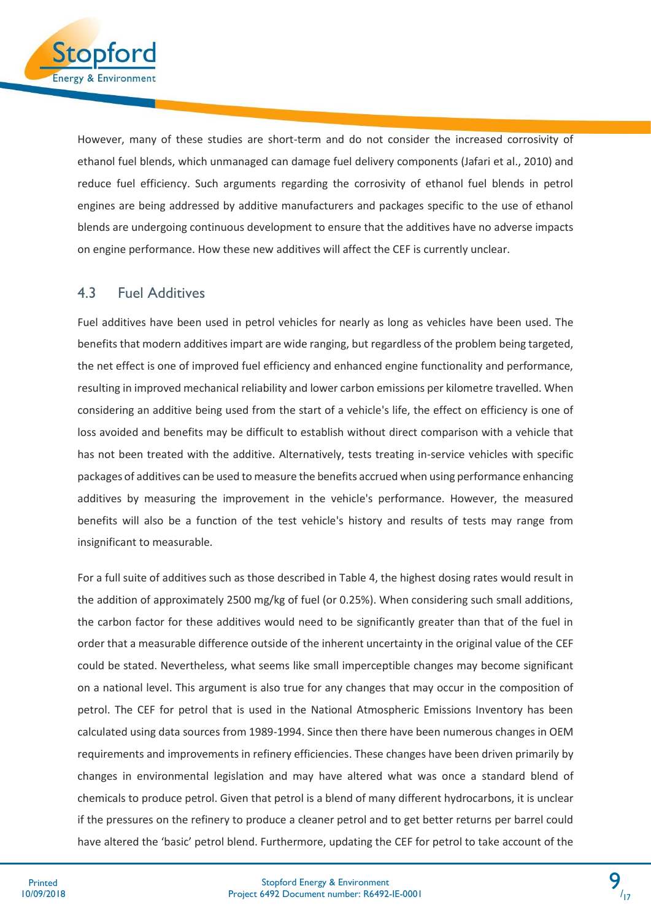

However, many of these studies are short-term and do not consider the increased corrosivity of ethanol fuel blends, which unmanaged can damage fuel delivery components (Jafari et al., 2010) and reduce fuel efficiency. Such arguments regarding the corrosivity of ethanol fuel blends in petrol engines are being addressed by additive manufacturers and packages specific to the use of ethanol blends are undergoing continuous development to ensure that the additives have no adverse impacts on engine performance. How these new additives will affect the CEF is currently unclear.

### <span id="page-9-0"></span>4.3 Fuel Additives

Fuel additives have been used in petrol vehicles for nearly as long as vehicles have been used. The benefits that modern additives impart are wide ranging, but regardless of the problem being targeted, the net effect is one of improved fuel efficiency and enhanced engine functionality and performance, resulting in improved mechanical reliability and lower carbon emissions per kilometre travelled. When considering an additive being used from the start of a vehicle's life, the effect on efficiency is one of loss avoided and benefits may be difficult to establish without direct comparison with a vehicle that has not been treated with the additive. Alternatively, tests treating in-service vehicles with specific packages of additives can be used to measure the benefits accrued when using performance enhancing additives by measuring the improvement in the vehicle's performance. However, the measured benefits will also be a function of the test vehicle's history and results of tests may range from insignificant to measurable.

For a full suite of additives such as those described in Table 4, the highest dosing rates would result in the addition of approximately 2500 mg/kg of fuel (or 0.25%). When considering such small additions, the carbon factor for these additives would need to be significantly greater than that of the fuel in order that a measurable difference outside of the inherent uncertainty in the original value of the CEF could be stated. Nevertheless, what seems like small imperceptible changes may become significant on a national level. This argument is also true for any changes that may occur in the composition of petrol. The CEF for petrol that is used in the National Atmospheric Emissions Inventory has been calculated using data sources from 1989-1994. Since then there have been numerous changes in OEM requirements and improvements in refinery efficiencies. These changes have been driven primarily by changes in environmental legislation and may have altered what was once a standard blend of chemicals to produce petrol. Given that petrol is a blend of many different hydrocarbons, it is unclear if the pressures on the refinery to produce a cleaner petrol and to get better returns per barrel could have altered the 'basic' petrol blend. Furthermore, updating the CEF for petrol to take account of the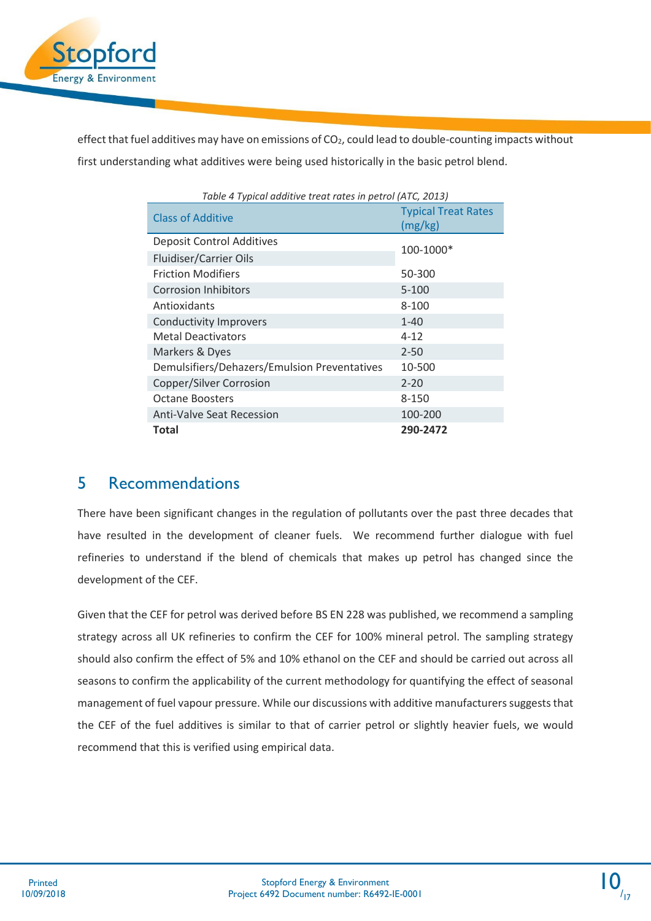

effect that fuel additives may have on emissions of  $CO<sub>2</sub>$ , could lead to double-counting impacts without first understanding what additives were being used historically in the basic petrol blend.

| Table 4 Typical additive treat rates in petrol (ATC, 2013) |                                       |  |  |
|------------------------------------------------------------|---------------------------------------|--|--|
| <b>Class of Additive</b>                                   | <b>Typical Treat Rates</b><br>(mg/kg) |  |  |
| <b>Deposit Control Additives</b>                           |                                       |  |  |
| Fluidiser/Carrier Oils                                     | 100-1000*                             |  |  |
| <b>Friction Modifiers</b>                                  | 50-300                                |  |  |
| <b>Corrosion Inhibitors</b>                                | $5 - 100$                             |  |  |
| Antioxidants                                               | $8 - 100$                             |  |  |
| <b>Conductivity Improvers</b>                              | $1 - 40$                              |  |  |
| <b>Metal Deactivators</b>                                  | $4 - 12$                              |  |  |
| Markers & Dyes                                             | $2 - 50$                              |  |  |
| Demulsifiers/Dehazers/Emulsion Preventatives               | 10-500                                |  |  |
| Copper/Silver Corrosion                                    | $2 - 20$                              |  |  |
| <b>Octane Boosters</b>                                     | 8-150                                 |  |  |
| <b>Anti-Valve Seat Recession</b>                           | 100-200                               |  |  |
| Total                                                      | 290-2472                              |  |  |

### <span id="page-10-0"></span>5 Recommendations

There have been significant changes in the regulation of pollutants over the past three decades that have resulted in the development of cleaner fuels. We recommend further dialogue with fuel refineries to understand if the blend of chemicals that makes up petrol has changed since the development of the CEF.

Given that the CEF for petrol was derived before BS EN 228 was published, we recommend a sampling strategy across all UK refineries to confirm the CEF for 100% mineral petrol. The sampling strategy should also confirm the effect of 5% and 10% ethanol on the CEF and should be carried out across all seasons to confirm the applicability of the current methodology for quantifying the effect of seasonal management of fuel vapour pressure. While our discussions with additive manufacturers suggests that the CEF of the fuel additives is similar to that of carrier petrol or slightly heavier fuels, we would recommend that this is verified using empirical data.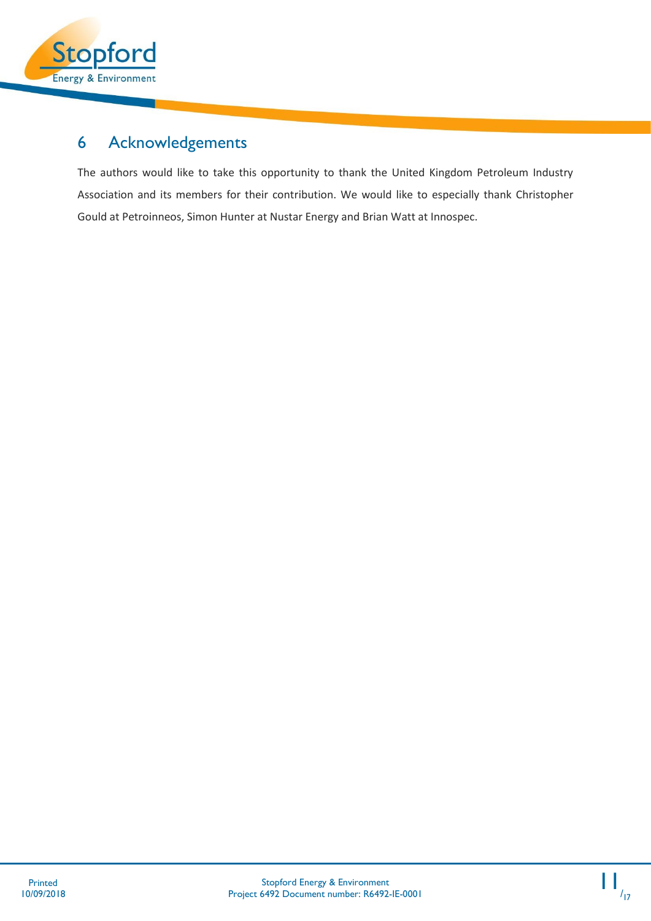

# <span id="page-11-0"></span>6 Acknowledgements

The authors would like to take this opportunity to thank the United Kingdom Petroleum Industry Association and its members for their contribution. We would like to especially thank Christopher Gould at Petroinneos, Simon Hunter at Nustar Energy and Brian Watt at Innospec.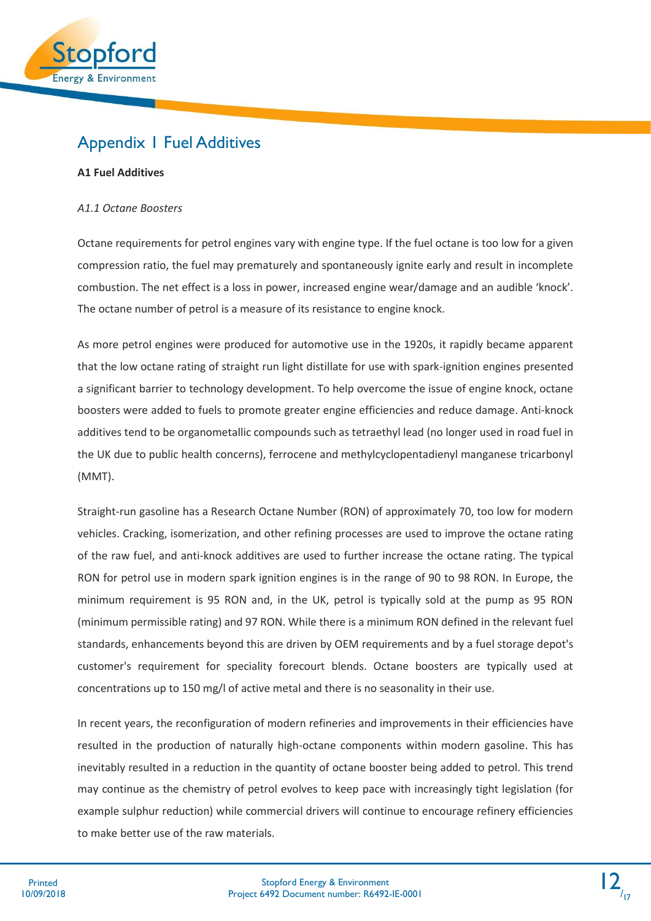

### <span id="page-12-0"></span>Appendix 1 Fuel Additives

### **A1 Fuel Additives**

### *A1.1 Octane Boosters*

Octane requirements for petrol engines vary with engine type. If the fuel octane is too low for a given compression ratio, the fuel may prematurely and spontaneously ignite early and result in incomplete combustion. The net effect is a loss in power, increased engine wear/damage and an audible 'knock'. The octane number of petrol is a measure of its resistance to engine knock.

As more petrol engines were produced for automotive use in the 1920s, it rapidly became apparent that the low octane rating of straight run light distillate for use with spark-ignition engines presented a significant barrier to technology development. To help overcome the issue of engine knock, octane boosters were added to fuels to promote greater engine efficiencies and reduce damage. Anti-knock additives tend to be organometallic compounds such as tetraethyl lead (no longer used in road fuel in the UK due to public health concerns), ferrocene and methylcyclopentadienyl manganese tricarbonyl (MMT).

Straight-run gasoline has a Research Octane Number (RON) of approximately 70, too low for modern vehicles. Cracking, isomerization, and other refining processes are used to improve the octane rating of the raw fuel, and anti-knock additives are used to further increase the octane rating. The typical RON for petrol use in modern spark ignition engines is in the range of 90 to 98 RON. In Europe, the minimum requirement is 95 RON and, in the UK, petrol is typically sold at the pump as 95 RON (minimum permissible rating) and 97 RON. While there is a minimum RON defined in the relevant fuel standards, enhancements beyond this are driven by OEM requirements and by a fuel storage depot's customer's requirement for speciality forecourt blends. Octane boosters are typically used at concentrations up to 150 mg/l of active metal and there is no seasonality in their use.

In recent years, the reconfiguration of modern refineries and improvements in their efficiencies have resulted in the production of naturally high-octane components within modern gasoline. This has inevitably resulted in a reduction in the quantity of octane booster being added to petrol. This trend may continue as the chemistry of petrol evolves to keep pace with increasingly tight legislation (for example sulphur reduction) while commercial drivers will continue to encourage refinery efficiencies to make better use of the raw materials.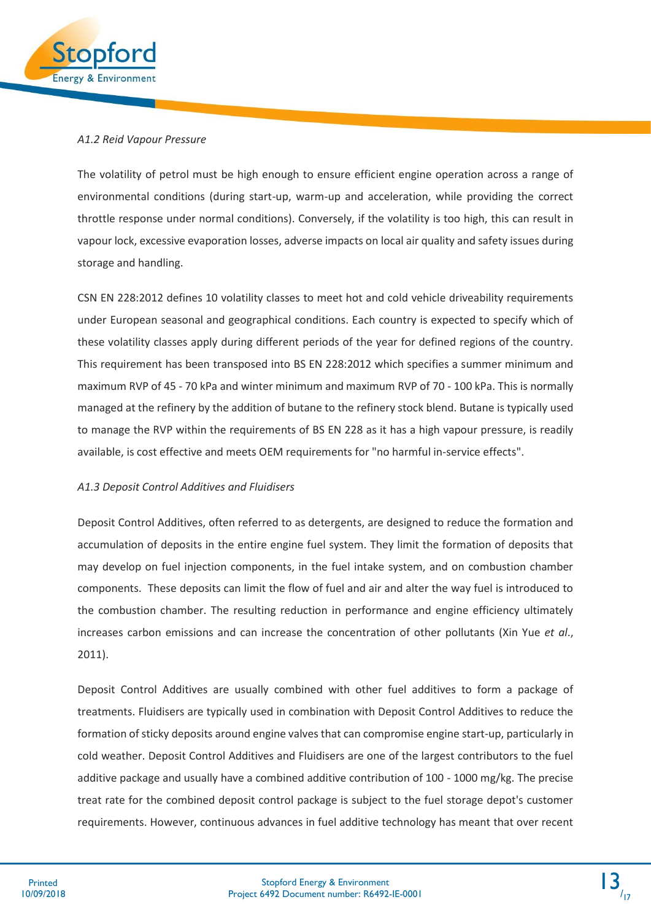

### *A1.2 Reid Vapour Pressure*

The volatility of petrol must be high enough to ensure efficient engine operation across a range of environmental conditions (during start-up, warm-up and acceleration, while providing the correct throttle response under normal conditions). Conversely, if the volatility is too high, this can result in vapour lock, excessive evaporation losses, adverse impacts on local air quality and safety issues during storage and handling.

CSN EN 228:2012 defines 10 volatility classes to meet hot and cold vehicle driveability requirements under European seasonal and geographical conditions. Each country is expected to specify which of these volatility classes apply during different periods of the year for defined regions of the country. This requirement has been transposed into BS EN 228:2012 which specifies a summer minimum and maximum RVP of 45 - 70 kPa and winter minimum and maximum RVP of 70 - 100 kPa. This is normally managed at the refinery by the addition of butane to the refinery stock blend. Butane is typically used to manage the RVP within the requirements of BS EN 228 as it has a high vapour pressure, is readily available, is cost effective and meets OEM requirements for "no harmful in-service effects".

### *A1.3 Deposit Control Additives and Fluidisers*

Deposit Control Additives, often referred to as detergents, are designed to reduce the formation and accumulation of deposits in the entire engine fuel system. They limit the formation of deposits that may develop on fuel injection components, in the fuel intake system, and on combustion chamber components. These deposits can limit the flow of fuel and air and alter the way fuel is introduced to the combustion chamber. The resulting reduction in performance and engine efficiency ultimately increases carbon emissions and can increase the concentration of other pollutants (Xin Yue *et al*., 2011).

Deposit Control Additives are usually combined with other fuel additives to form a package of treatments. Fluidisers are typically used in combination with Deposit Control Additives to reduce the formation of sticky deposits around engine valves that can compromise engine start-up, particularly in cold weather. Deposit Control Additives and Fluidisers are one of the largest contributors to the fuel additive package and usually have a combined additive contribution of 100 - 1000 mg/kg. The precise treat rate for the combined deposit control package is subject to the fuel storage depot's customer requirements. However, continuous advances in fuel additive technology has meant that over recent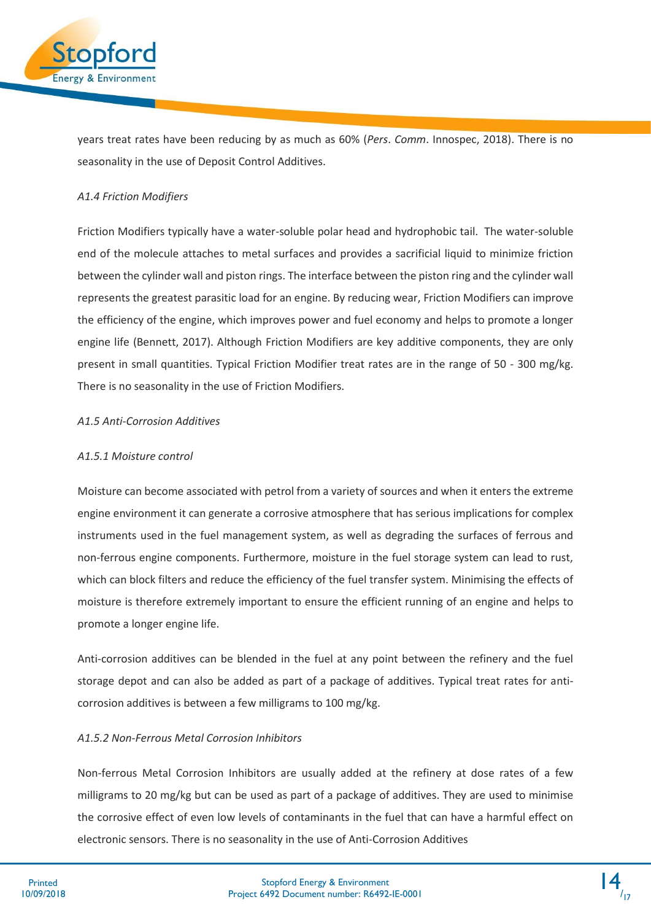

years treat rates have been reducing by as much as 60% (*Pers*. *Comm*. Innospec, 2018). There is no seasonality in the use of Deposit Control Additives.

### *A1.4 Friction Modifiers*

Friction Modifiers typically have a water-soluble polar head and hydrophobic tail. The water-soluble end of the molecule attaches to metal surfaces and provides a sacrificial liquid to minimize friction between the cylinder wall and piston rings. The interface between the piston ring and the cylinder wall represents the greatest parasitic load for an engine. By reducing wear, Friction Modifiers can improve the efficiency of the engine, which improves power and fuel economy and helps to promote a longer engine life (Bennett, 2017). Although Friction Modifiers are key additive components, they are only present in small quantities. Typical Friction Modifier treat rates are in the range of 50 - 300 mg/kg. There is no seasonality in the use of Friction Modifiers.

#### *A1.5 Anti-Corrosion Additives*

#### *A1.5.1 Moisture control*

Moisture can become associated with petrol from a variety of sources and when it enters the extreme engine environment it can generate a corrosive atmosphere that has serious implications for complex instruments used in the fuel management system, as well as degrading the surfaces of ferrous and non-ferrous engine components. Furthermore, moisture in the fuel storage system can lead to rust, which can block filters and reduce the efficiency of the fuel transfer system. Minimising the effects of moisture is therefore extremely important to ensure the efficient running of an engine and helps to promote a longer engine life.

Anti-corrosion additives can be blended in the fuel at any point between the refinery and the fuel storage depot and can also be added as part of a package of additives. Typical treat rates for anticorrosion additives is between a few milligrams to 100 mg/kg.

### *A1.5.2 Non-Ferrous Metal Corrosion Inhibitors*

Non-ferrous Metal Corrosion Inhibitors are usually added at the refinery at dose rates of a few milligrams to 20 mg/kg but can be used as part of a package of additives. They are used to minimise the corrosive effect of even low levels of contaminants in the fuel that can have a harmful effect on electronic sensors. There is no seasonality in the use of Anti-Corrosion Additives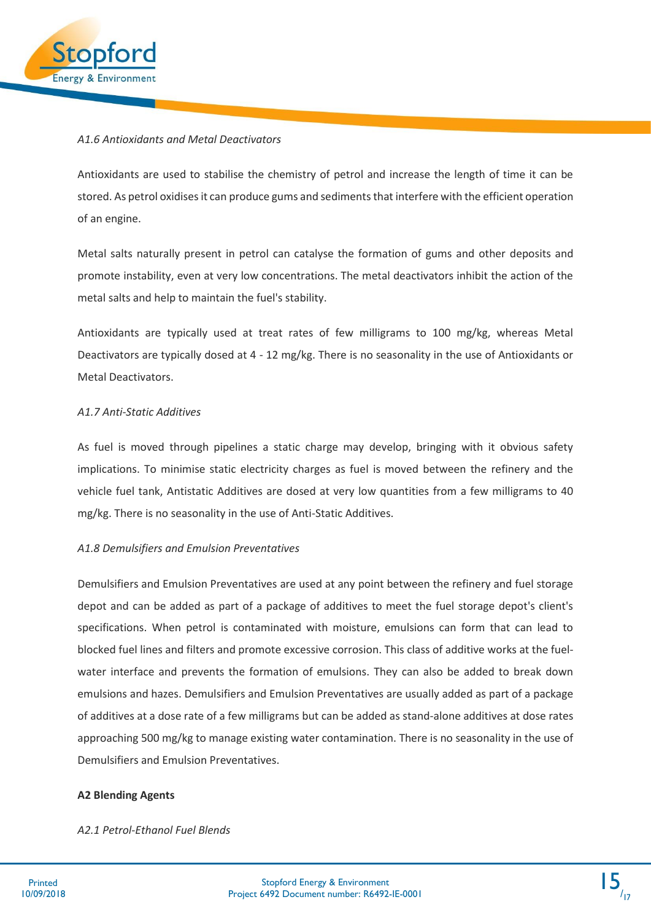

#### *A1.6 Antioxidants and Metal Deactivators*

Antioxidants are used to stabilise the chemistry of petrol and increase the length of time it can be stored. As petrol oxidises it can produce gums and sediments that interfere with the efficient operation of an engine.

Metal salts naturally present in petrol can catalyse the formation of gums and other deposits and promote instability, even at very low concentrations. The metal deactivators inhibit the action of the metal salts and help to maintain the fuel's stability.

Antioxidants are typically used at treat rates of few milligrams to 100 mg/kg, whereas Metal Deactivators are typically dosed at 4 - 12 mg/kg. There is no seasonality in the use of Antioxidants or Metal Deactivators.

### *A1.7 Anti-Static Additives*

As fuel is moved through pipelines a static charge may develop, bringing with it obvious safety implications. To minimise static electricity charges as fuel is moved between the refinery and the vehicle fuel tank, Antistatic Additives are dosed at very low quantities from a few milligrams to 40 mg/kg. There is no seasonality in the use of Anti-Static Additives.

### *A1.8 Demulsifiers and Emulsion Preventatives*

Demulsifiers and Emulsion Preventatives are used at any point between the refinery and fuel storage depot and can be added as part of a package of additives to meet the fuel storage depot's client's specifications. When petrol is contaminated with moisture, emulsions can form that can lead to blocked fuel lines and filters and promote excessive corrosion. This class of additive works at the fuelwater interface and prevents the formation of emulsions. They can also be added to break down emulsions and hazes. Demulsifiers and Emulsion Preventatives are usually added as part of a package of additives at a dose rate of a few milligrams but can be added as stand-alone additives at dose rates approaching 500 mg/kg to manage existing water contamination. There is no seasonality in the use of Demulsifiers and Emulsion Preventatives.

#### **A2 Blending Agents**

#### *A2.1 Petrol-Ethanol Fuel Blends*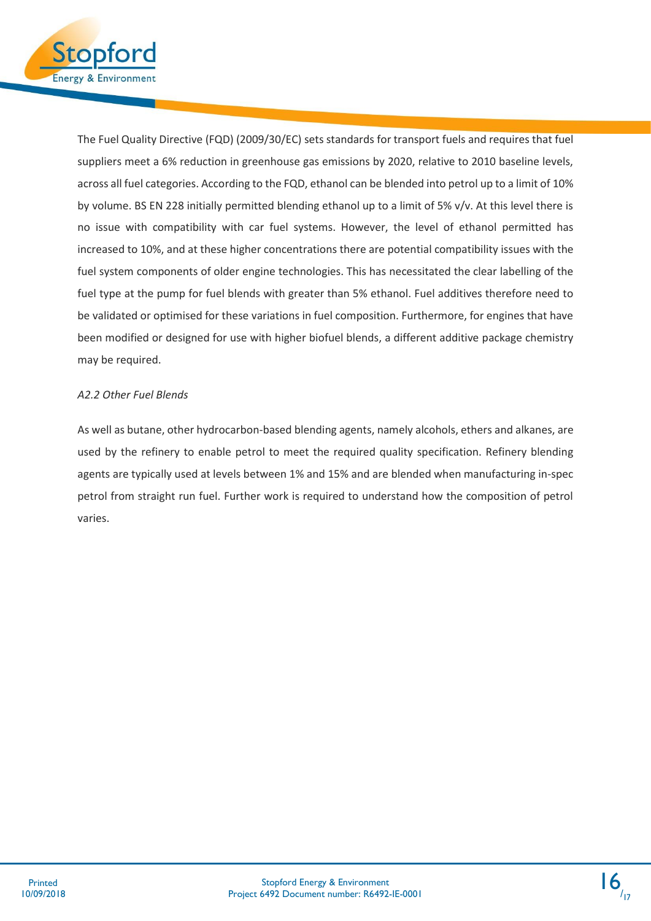

The Fuel Quality Directive (FQD) (2009/30/EC) sets standards for transport fuels and requires that fuel suppliers meet a 6% reduction in greenhouse gas emissions by 2020, relative to 2010 baseline levels, across all fuel categories. According to the FQD, ethanol can be blended into petrol up to a limit of 10% by volume. BS EN 228 initially permitted blending ethanol up to a limit of 5% v/v. At this level there is no issue with compatibility with car fuel systems. However, the level of ethanol permitted has increased to 10%, and at these higher concentrations there are potential compatibility issues with the fuel system components of older engine technologies. This has necessitated the clear labelling of the fuel type at the pump for fuel blends with greater than 5% ethanol. Fuel additives therefore need to be validated or optimised for these variations in fuel composition. Furthermore, for engines that have been modified or designed for use with higher biofuel blends, a different additive package chemistry may be required.

### *A2.2 Other Fuel Blends*

As well as butane, other hydrocarbon-based blending agents, namely alcohols, ethers and alkanes, are used by the refinery to enable petrol to meet the required quality specification. Refinery blending agents are typically used at levels between 1% and 15% and are blended when manufacturing in-spec petrol from straight run fuel. Further work is required to understand how the composition of petrol varies.

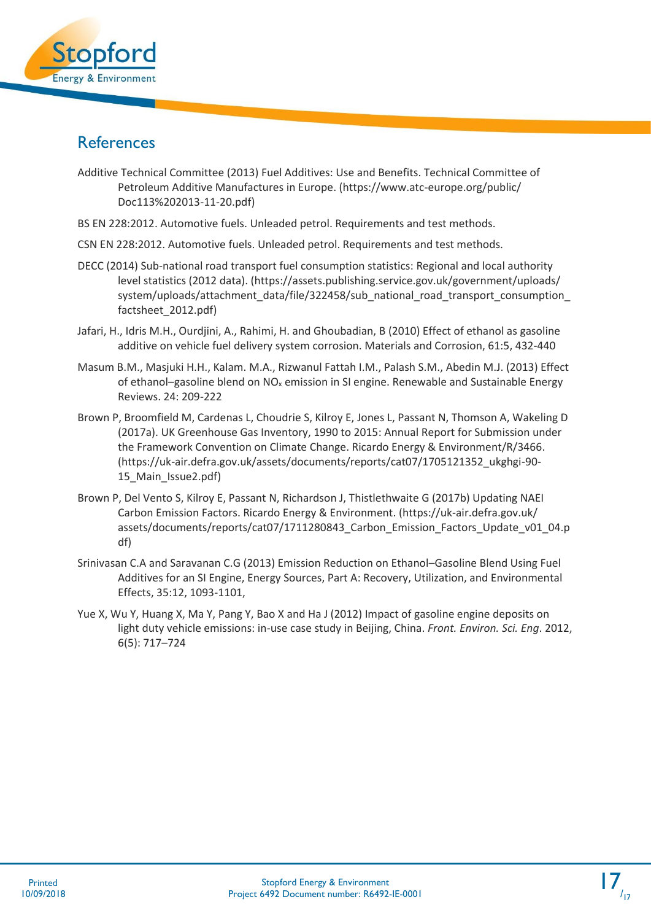

### <span id="page-17-0"></span>**References**

- Additive Technical Committee (2013) Fuel Additives: Use and Benefits. Technical Committee of Petroleum Additive Manufactures in Europe. (https://www.atc-europe.org/public/ Doc113%202013-11-20.pdf)
- BS EN 228:2012. Automotive fuels. Unleaded petrol. Requirements and test methods.
- CSN EN 228:2012. Automotive fuels. Unleaded petrol. Requirements and test methods.
- DECC (2014) Sub-national road transport fuel consumption statistics: Regional and local authority level statistics (2012 data). (https://assets.publishing.service.gov.uk/government/uploads/ system/uploads/attachment\_data/file/322458/sub\_national\_road\_transport\_consumption\_ factsheet\_2012.pdf)
- Jafari, H., Idris M.H., Ourdjini, A., Rahimi, H. and Ghoubadian, B (2010) Effect of ethanol as gasoline additive on vehicle fuel delivery system corrosion. Materials and Corrosion, 61:5, 432-440
- [Masum](https://www.sciencedirect.com/science/article/pii/S1364032113002050#!) B.M., [Masjuki](https://www.sciencedirect.com/science/article/pii/S1364032113002050#!) H.H., [Kalam. M.A., Rizwanul Fattah](https://www.sciencedirect.com/science/article/pii/S1364032113002050#!) I.M., [Palash](https://www.sciencedirect.com/science/article/pii/S1364032113002050#!) S.M.[, Abedin](https://www.sciencedirect.com/science/article/pii/S1364032113002050#!) M.J. (2013) Effect of ethanol–gasoline blend on  $NO<sub>x</sub>$  emission in SI engine. Renewable and Sustainable Energy Reviews. 24: 209-222
- Brown P, Broomfield M, Cardenas L, Choudrie S, Kilroy E, Jones L, Passant N, Thomson A, Wakeling D (2017a). UK Greenhouse Gas Inventory, 1990 to 2015: Annual Report for Submission under the Framework Convention on Climate Change. Ricardo Energy & Environment/R/3466. (https://uk-air.defra.gov.uk/assets/documents/reports/cat07/1705121352\_ukghgi-90- 15 Main Issue2.pdf)
- Brown P, Del Vento S, Kilroy E, Passant N, Richardson J, Thistlethwaite G (2017b) Updating NAEI Carbon Emission Factors. Ricardo Energy & Environment. (https://uk-air.defra.gov.uk/ assets/documents/reports/cat07/1711280843\_Carbon\_Emission\_Factors\_Update\_v01\_04.p df)
- Srinivasan C.A and Saravanan C.G (2013) Emission Reduction on Ethanol–Gasoline Blend Using Fuel Additives for an SI Engine, Energy Sources, Part A: Recovery, Utilization, and Environmental Effects, 35:12, 1093-1101,
- Yue X, Wu Y, Huang X, Ma Y, Pang Y, Bao X and Ha J (2012) Impact of gasoline engine deposits on light duty vehicle emissions: in-use case study in Beijing, China. *Front. Environ. Sci. Eng*. 2012, 6(5): 717–724